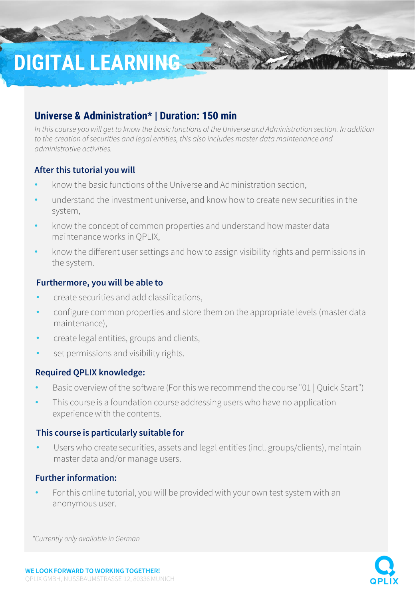# **DIGITAL LEARNING**

# **Universe & Administration\* | Duration: 150 min**

*In this course you will get to know the basic functions of the Universe and Administration section. In addition to the creation of securities and legal entities, this also includes master data maintenance and administrative activities.*

### **After this tutorial you will**

- know the basic functions of the Universe and Administration section,
- understand the investment universe, and know how to create new securities in the system,
- know the concept of common properties and understand how master data maintenance works in QPLIX,
- know the different user settings and how to assign visibility rights and permissions in the system.

### **Furthermore, you will be able to**

- create securities and add classifications,
- configure common properties and store them on the appropriate levels (master data maintenance),
- create legal entities, groups and clients,
- set permissions and visibility rights.

### **Required QPLIX knowledge:**

- Basic overview of the software (For this we recommend the course "01 | Quick Start")
- This course is a foundation course addressing users who have no application experience with the contents.

#### **This course is particularly suitable for**

Users who create securities, assets and legal entities (incl. groups/clients), maintain master data and/or manage users.

### **Further information:**

• For this online tutorial, you will be provided with your own test system with an anonymous user.

*\*Currently only available in German*